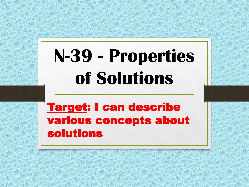# **N-39 - Properties of Solutions**

Target: I can describe various concepts about solutions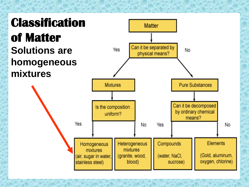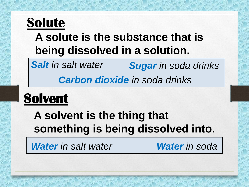## **Solute**

#### **A solute is the substance that is being dissolved in a solution.**

*Salt in salt water Sugar in soda drinks*

*Carbon dioxide in soda drinks*

## **Solvent**

**A solvent is the thing that something is being dissolved into.**

*Water in salt water Water in soda*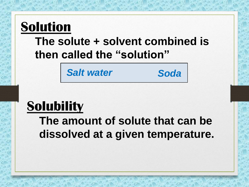#### **Solution The solute + solvent combined is then called the "solution"**

*Salt water Soda*

## **Solubility**

**The amount of solute that can be dissolved at a given temperature.**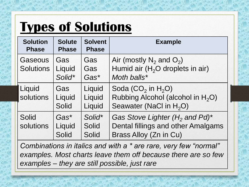## **Types of Solutions**

| <b>Solution</b><br><b>Phase</b>    | <b>Solute</b><br><b>Phase</b>    | <b>Solvent</b><br><b>Phase</b>  | <b>Example</b>                                                                                        |
|------------------------------------|----------------------------------|---------------------------------|-------------------------------------------------------------------------------------------------------|
| <b>Gaseous</b><br><b>Solutions</b> | Gas<br>Liquid<br>Solid*          | Gas<br>Gas<br>$Gas*$            | Air (mostly $N_2$ and $O_2$ )<br>Humid air $(H2O$ droplets in air)<br>Moth balls*                     |
| Liquid<br>solutions                | Gas<br>Liquid<br><b>Solid</b>    | Liquid<br>Liquid<br>Liquid      | Soda $(CO2$ in $H2O$ )<br>Rubbing Alcohol (alcohol in $H_2O$ )<br>Seawater (NaCl in H <sub>2</sub> O) |
| <b>Solid</b><br>solutions          | $Gas*$<br>Liquid<br><b>Solid</b> | Solid*<br><b>Solid</b><br>Solid | Gas Stove Lighter $(H_2$ and Pd)*<br>Dental fillings and other Amalgams<br>Brass Alloy (Zn in Cu)     |

*Combinations in italics and with a \* are rare, very few "normal" examples. Most charts leave them off because there are so few examples – they are still possible, just rare*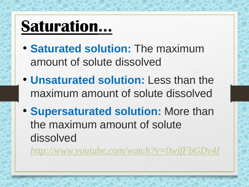# **Saturation…**

- **Saturated solution:** The maximum amount of solute dissolved
- **Unsaturated solution:** Less than the maximum amount of solute dissolved
- **Supersaturated solution:** More than the maximum amount of solute dissolved

*<http://www.youtube.com/watch?v=0wifFbGDv4I>*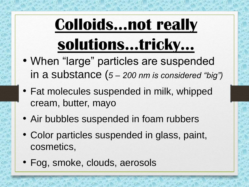# **Colloids…not really solutions…tricky…**

- When "large" particles are suspended in a substance (*5 – 200 nm is considered "big")*
- Fat molecules suspended in milk, whipped cream, butter, mayo
- Air bubbles suspended in foam rubbers
- Color particles suspended in glass, paint, cosmetics,
- Fog, smoke, clouds, aerosols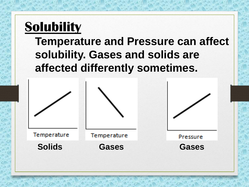#### **Solubility**

**Temperature and Pressure can affect solubility. Gases and solids are affected differently sometimes.** 

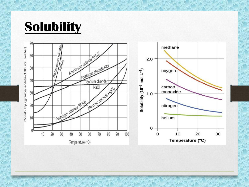#### **Solubility**

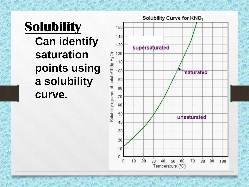#### **Solubility Can identify saturation points using a solubility curve.**

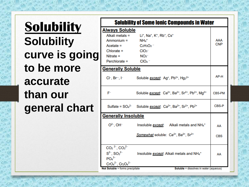**Solubility Solubility curve is going to be more accurate than our general chart**

|                                                                                                                           | <b>Solubility of Some lonic Compounds in Water</b>                                                                                             |               |  |  |  |  |
|---------------------------------------------------------------------------------------------------------------------------|------------------------------------------------------------------------------------------------------------------------------------------------|---------------|--|--|--|--|
| <b>Always Soluble</b>                                                                                                     |                                                                                                                                                |               |  |  |  |  |
| Alkali metals =                                                                                                           | Li <sup>+</sup> , Na <sup>+</sup> , K <sup>+</sup> , Rb <sup>+</sup> , Cs <sup>+</sup>                                                         |               |  |  |  |  |
| Ammonium =                                                                                                                | $NH_4$ <sup>+</sup>                                                                                                                            | AAA           |  |  |  |  |
| $Accetate =$                                                                                                              | $C_2H_3O_2$                                                                                                                                    | <b>CNP</b>    |  |  |  |  |
| $Chlorate =$                                                                                                              | ClO <sub>3</sub>                                                                                                                               |               |  |  |  |  |
| Nitrate $=$                                                                                                               | NO <sub>3</sub>                                                                                                                                |               |  |  |  |  |
| Perchlorate = $CIO4$ =                                                                                                    |                                                                                                                                                |               |  |  |  |  |
| <b>Generally Soluble</b>                                                                                                  |                                                                                                                                                |               |  |  |  |  |
|                                                                                                                           | Cl <sup>-</sup> , Br <sup>--</sup> , I <sup>-</sup> Soluble <u>except</u> : Ag <sup>+</sup> , Pb <sup>2+</sup> , Hg <sub>2</sub> <sup>2+</sup> | AP-H          |  |  |  |  |
| F-                                                                                                                        | Soluble except: Ca <sup>2+</sup> , Ba <sup>2+</sup> , Sr <sup>2+</sup> , Pb <sup>2+</sup> , Mg <sup>2+</sup>                                   | <b>CBS-PM</b> |  |  |  |  |
|                                                                                                                           | Sulfate = $SO_4^2$ Soluble except: $Ca^{2+}$ , Ba <sup>2+</sup> , Sr <sup>2+</sup> , Pb <sup>2+</sup>                                          | CBS-P         |  |  |  |  |
| <b>Generally Insoluble</b>                                                                                                |                                                                                                                                                |               |  |  |  |  |
|                                                                                                                           | $O^{2-}$ , OH <sup>-</sup> Insoluble <i>except</i> : Alkali metals and NH <sub>4</sub> <sup>+</sup>                                            | AA            |  |  |  |  |
|                                                                                                                           | Somewhat soluble: Ca <sup>2+</sup> , Ba <sup>2+</sup> , Sr <sup>2+</sup>                                                                       | <b>CBS</b>    |  |  |  |  |
| $CO2$ <sup>2-</sup> , $CO3$ <sup>2-</sup><br>$S^{2-}$ , $SO_3^{2-}$<br>PO <sub>4</sub> <sup>3–</sup><br>$CrO42-, Cr2O42-$ | Insoluble <i>except</i> : Alkali metals and NH <sub>4</sub> <sup>+</sup>                                                                       | AA            |  |  |  |  |
| Not Soluble = forms precipitate<br><b>Soluble</b> = dissolves in water (aqueous)                                          |                                                                                                                                                |               |  |  |  |  |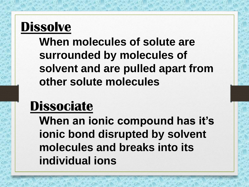#### **Dissolve**

**When molecules of solute are surrounded by molecules of solvent and are pulled apart from other solute molecules**

#### **Dissociate**

**When an ionic compound has it's ionic bond disrupted by solvent molecules and breaks into its individual ions**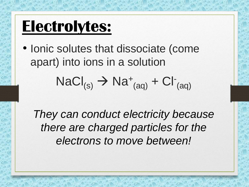## **Electrolytes:**

• Ionic solutes that dissociate (come apart) into ions in a solution

$$
NaCl_{(s)} \rightarrow Na^{+}_{(aq)} + Cl^{-}_{(aq)}
$$

*They can conduct electricity because there are charged particles for the electrons to move between!*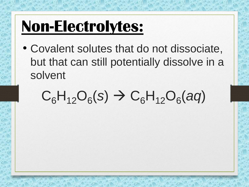# **Non-Electrolytes:**

• Covalent solutes that do not dissociate, but that can still potentially dissolve in a solvent

# $C_6H_{12}O_6(s) \rightarrow C_6H_{12}O_6(aq)$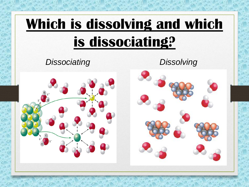# **Which is dissolving and which is dissociating?** *Dissociating Dissolving*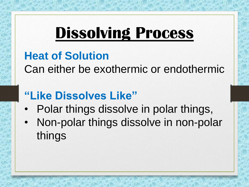## **Dissolving Process**

#### **Heat of Solution**

Can either be exothermic or endothermic

#### **"Like Dissolves Like"**

- Polar things dissolve in polar things,
- Non-polar things dissolve in non-polar things